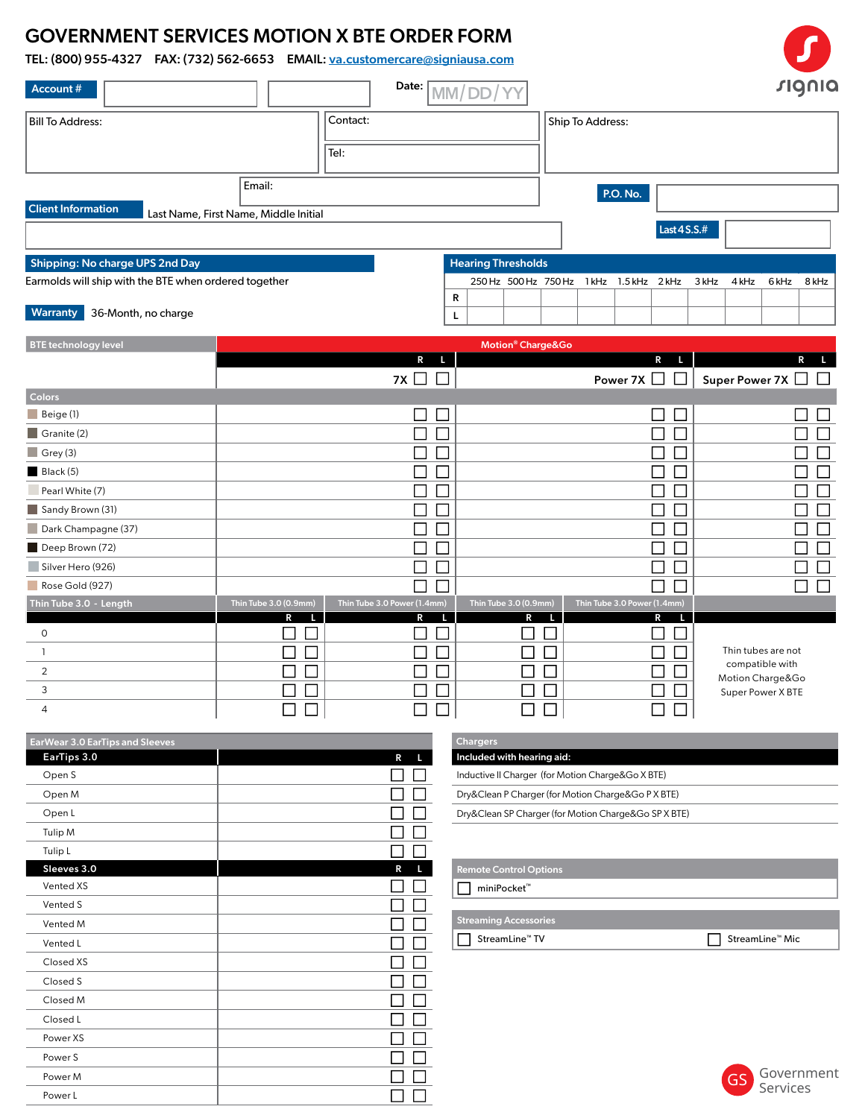## GOVERNMENT SERVICES MOTION X BTE ORDER FORM

TEL: (800) 955-4327 FAX: (732) 562-6653 EMAIL: va.customercare@signiausa.com

| Account #                                             |                                                 |                  | Date:                          | MM/DD                         |                             |                                          |                             |                       |                                       | signia |
|-------------------------------------------------------|-------------------------------------------------|------------------|--------------------------------|-------------------------------|-----------------------------|------------------------------------------|-----------------------------|-----------------------|---------------------------------------|--------|
| <b>Bill To Address:</b>                               |                                                 | Contact:<br>Tel: |                                |                               |                             | Ship To Address:                         |                             |                       |                                       |        |
| <b>Client Information</b>                             | Email:<br>Last Name, First Name, Middle Initial |                  |                                |                               |                             | <b>P.O. No.</b>                          | Last 4 S.S.#                |                       |                                       |        |
| <b>Shipping: No charge UPS 2nd Day</b>                |                                                 |                  |                                | <b>Hearing Thresholds</b>     |                             |                                          |                             |                       |                                       |        |
| Earmolds will ship with the BTE when ordered together |                                                 |                  |                                |                               |                             | 250 Hz 500 Hz 750 Hz 1 kHz 1.5 kHz 2 kHz |                             | 3 kHz<br>4 kHz        | 6 kHz                                 | 8 kHz  |
| <b>Warranty</b><br>36-Month, no charge                |                                                 |                  |                                | R<br>г                        |                             |                                          |                             |                       |                                       |        |
| <b>BTE</b> technology level                           |                                                 |                  |                                | Motion <sup>®</sup> Charge&Go |                             |                                          |                             |                       |                                       |        |
|                                                       |                                                 |                  | $\mathsf{R}$<br>п<br>7X $\Box$ |                               |                             | Power 7X $\Box$                          | R<br>п.                     | Super Power 7X $\Box$ |                                       | R      |
| Colors                                                |                                                 |                  |                                |                               |                             |                                          |                             |                       |                                       |        |
| Beige(1)                                              |                                                 |                  |                                |                               |                             |                                          | ×<br>$\Box$                 |                       |                                       |        |
| Granite (2)                                           |                                                 |                  | $\overline{\phantom{a}}$       |                               |                             |                                          | $\Box$<br>$\Box$            |                       |                                       |        |
| $\Box$ Grey (3)                                       |                                                 |                  | $\Box$                         |                               |                             |                                          | $\Box$<br>$\mathcal{L}$     |                       |                                       |        |
| Black (5)                                             |                                                 |                  |                                |                               |                             |                                          | T,                          |                       |                                       |        |
| Pearl White (7)                                       |                                                 |                  | a,                             |                               |                             |                                          | ΓI<br>$\mathcal{L}$         |                       |                                       | ×,     |
| Sandy Brown (31)                                      |                                                 |                  | П                              |                               |                             |                                          | $\overline{\phantom{0}}$    |                       |                                       |        |
| Dark Champagne (37)                                   |                                                 |                  | ×,                             |                               |                             |                                          | ٦                           |                       |                                       |        |
| Deep Brown (72)                                       |                                                 |                  |                                |                               |                             |                                          |                             |                       |                                       |        |
| Silver Hero (926)                                     |                                                 |                  |                                |                               |                             |                                          | $\mathcal{L}_{\mathcal{A}}$ |                       |                                       |        |
| Rose Gold (927)                                       |                                                 |                  |                                |                               |                             |                                          |                             |                       |                                       |        |
| Thin Tube 3.0 - Length                                | Thin Tube 3.0 (0.9mm)                           |                  | Thin Tube 3.0 Power (1.4mm)    | Thin Tube 3.0 (0.9mm)         |                             | Thin Tube 3.0 Power (1.4mm)              |                             |                       |                                       |        |
|                                                       | Þ                                               |                  | R                              | R                             |                             |                                          | Đ                           |                       |                                       |        |
| $\mathbf 0$                                           |                                                 |                  |                                |                               |                             |                                          |                             |                       |                                       |        |
| -1                                                    | π                                               |                  | $\Box$                         |                               | T.                          |                                          |                             |                       | Thin tubes are not<br>compatible with |        |
| $\overline{2}$                                        |                                                 |                  | $\overline{\phantom{a}}$       |                               |                             |                                          | Г<br>$\Box$                 |                       | Motion Charge&Go                      |        |
| 3                                                     | $\overline{\mathcal{L}}$                        |                  | $\Box$                         |                               | $\mathcal{L}_{\mathcal{A}}$ |                                          | ×.                          |                       | Super Power X BTE                     |        |
| 4                                                     |                                                 |                  | ┌                              |                               |                             |                                          | Г                           |                       |                                       |        |

| <b>EarWear 3.0 EarTips and Sleeves</b> |   |
|----------------------------------------|---|
| EarTips 3.0                            | R |
| Open S                                 |   |
| Open M                                 |   |
| Open L                                 |   |
| Tulip M                                |   |
| Tulip <sub>L</sub>                     |   |
| Sleeves 3.0                            | R |
| Vented XS                              |   |
| Vented S                               |   |
| Vented M                               |   |
| Vented L                               |   |
| Closed XS                              |   |
| Closed S                               |   |
| Closed M                               |   |
| Closed L                               |   |
| Power XS                               |   |
| Power S                                |   |
| Power M                                |   |
| Power L                                |   |

| <b>Chargers</b>                                      |  |
|------------------------------------------------------|--|
| Included with hearing aid:                           |  |
| Inductive II Charger (for Motion Charge&Go X BTE)    |  |
| Dry&Clean P Charger (for Motion Charge&Go P X BTE)   |  |
| Dry&Clean SP Charger (for Motion Charge&Go SP X BTE) |  |

| $\mathbf{L}$ | <b>Remote Control Options</b> |                             |
|--------------|-------------------------------|-----------------------------|
|              | miniPocket <sup>™</sup>       |                             |
|              |                               |                             |
|              | <b>Streaming Accessories</b>  |                             |
|              | StreamLine <sup>™</sup> TV    | StreamLine <sup>™</sup> Mic |
|              |                               |                             |
| $\perp$      |                               |                             |
| $\Box$       |                               |                             |
| $\Box$       |                               |                             |
| $\Box$       |                               |                             |
| $\Box$       |                               |                             |
|              |                               | Government<br>GS            |
|              |                               | Services                    |